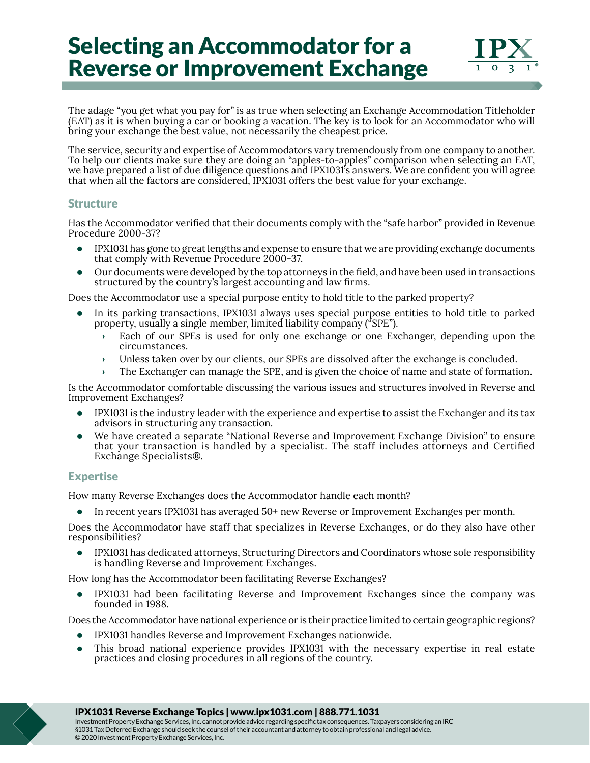# Selecting an Accommodator for a Reverse or Improvement Exchange



The adage "you get what you pay for" is as true when selecting an Exchange Accommodation Titleholder (EAT) as it is when buying a car or booking a vacation. The key is to look for an Accommodator who will bring your exchange the best value, not necessarily the cheapest price.

The service, security and expertise of Accommodators vary tremendously from one company to another. To help our clients make sure they are doing an "apples-to-apples" comparison when selecting an EAT, we have prepared a list of due diligence questions and IPX1031's answers. We are confident you will agree that when all the factors are considered, IPX1031 offers the best value for your exchange.

### **Structure**

Has the Accommodator verified that their documents comply with the "safe harbor" provided in Revenue Procedure 2000-37?

- IPX1031 has gone to great lengths and expense to ensure that we are providing exchange documents that comply with Revenue Procedure 2000-37.
- Our documents were developed by the top attorneys in the field, and have been used in transactions structured by the country's largest accounting and law firms.

Does the Accommodator use a special purpose entity to hold title to the parked property?

- In its parking transactions, IPX1031 always uses special purpose entities to hold title to parked property, usually a single member, limited liability company ("SPE").
	- › Each of our SPEs is used for only one exchange or one Exchanger, depending upon the circumstances.
	- › Unless taken over by our clients, our SPEs are dissolved after the exchange is concluded.
	- › The Exchanger can manage the SPE, and is given the choice of name and state of formation.

Is the Accommodator comfortable discussing the various issues and structures involved in Reverse and Improvement Exchanges?

- IPX1031 is the industry leader with the experience and expertise to assist the Exchanger and its tax advisors in structuring any transaction.
- We have created a separate "National Reverse and Improvement Exchange Division" to ensure that your transaction is handled by a specialist. The staff includes attorneys and Certified Exchange Specialists®.

## Expertise

How many Reverse Exchanges does the Accommodator handle each month?

• In recent years IPX1031 has averaged 50+ new Reverse or Improvement Exchanges per month.

Does the Accommodator have staff that specializes in Reverse Exchanges, or do they also have other responsibilities?

• IPX1031 has dedicated attorneys, Structuring Directors and Coordinators whose sole responsibility is handling Reverse and Improvement Exchanges.

How long has the Accommodator been facilitating Reverse Exchanges?

• IPX1031 had been facilitating Reverse and Improvement Exchanges since the company was founded in 1988.

Does the Accommodator have national experience or is their practice limited to certain geographic regions?

- IPX1031 handles Reverse and Improvement Exchanges nationwide.
- This broad national experience provides IPX1031 with the necessary expertise in real estate practices and closing procedures in all regions of the country.